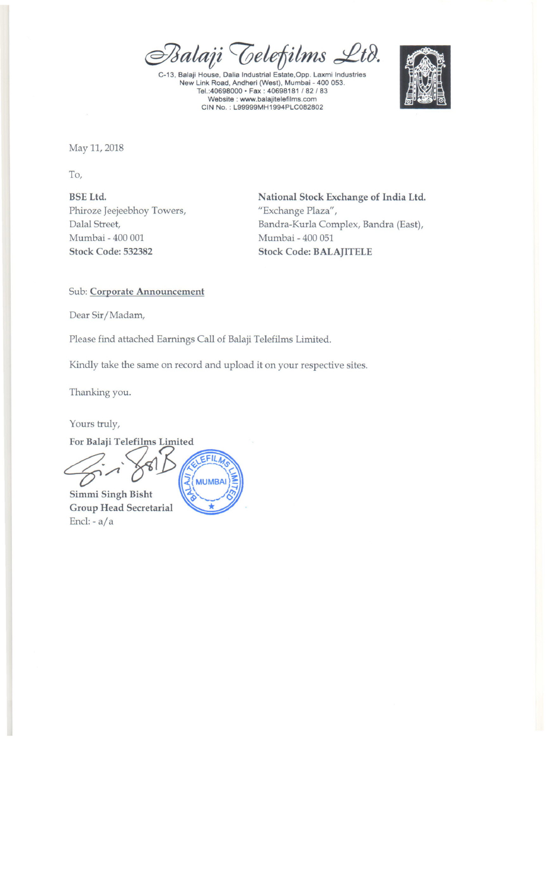*@fJJalaiiC0eletilms ~A).*

C-13. 8alaji House. Dalia Industrial Estate.Opp. Laxmi Industries New Link Road. Andheri (West). Mumbai - 400 053. Tel.:40698000· Fax: 40698181 /82/83 Website: www.balajitelefilms.co CIN No. : L99999MH1994PLC082802



May 11, 2018

To,

BSE Ltd. Phiroze Jeejeebhoy Towers, Dalal Street, Mumbai - 400 001 Stock Code: 532382

National Stock Exchange of India Ltd. "Exchange Plaza", Bandra-Kurla Complex, Bandra (East), Mumbai - 400 051 Stock Code: BALAJITELE

Sub: Corporate Announcement

Dear Sir/Madam,

Please find attached Earnings Call of Balaji Telefilms Limited.

Kindly take the same on record and upload it on your respective sites.

Thanking you.

Yours truly,

For Balaji Telefilms Limited EFILMS **MUMBAI** 

Simmi Singh Bisht Group Head Secretarial End: - a/a